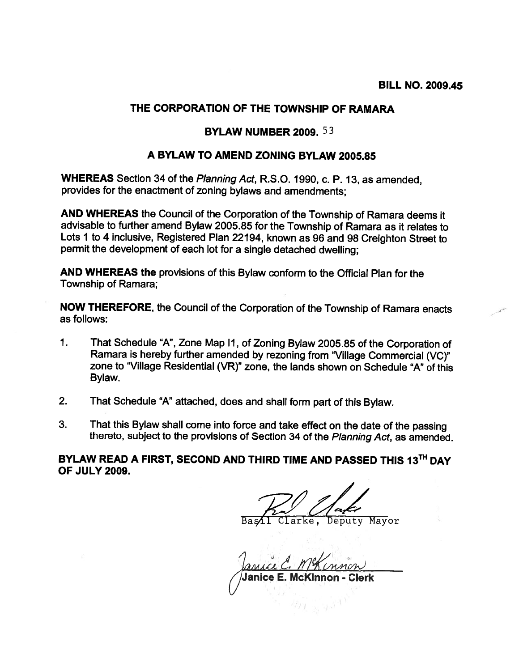## THE CORPORATION OF THE TOWNSHIP OF RAMARA

## BYLAW NUMBER 2009. 53

## A BYLAW TO AMEND ZONING BYLAW 2005.85

WHEREAS Section 34 of the Planning Act, R.S.O. 1990, c. P. 13, as amended, provides for the enactment of zoning bylaws and amendments;

AND WHEREAS the Council of the Corporation of the Township of Ramara deems it advisable to further amend Bylaw 2005.85 for the Township of Ramara as it relates to Lots <sup>I</sup> to <sup>4</sup> inclusive, Registered Plan 22194, known as <sup>96</sup> and <sup>98</sup> Creighton Street to permit the development of each lot for <sup>a</sup> single detached dwelling;

AND WHEREAS the provisions of this Bylaw conform to the Official Plan for the Township of Ramara;

NOW THEREFORE, the Council of the Corporation of the Township of Ramara enacts as follows:

- 1. That Schedule "A", Zone Map II, of Zoning Bylaw 2005.85 of the Corporation of Ramara is hereby further amended by rezoning from 'Village Commercial (VC)" zone to "Village Residential (VR)" zone, the lands shown on Schedule "A" of this Bylaw.
- 2. That Schedule "A" attached, does and shall form par<sup>t</sup> of this Bylaw.
- 3. That this Bylaw shall come into force and take effect on the date of the passing thereto, subject to the provisions of Section <sup>34</sup> of the Planning Act, as amended.

BYLAW READ A FIRST, SECOND AND THIRD TIME AND PASSED THIS 13<sup>TH</sup> DAY OF JULY 2009.

—- Bas⁄il Clarke, Deputy Mayor

Janice Janice E. McKinnon -